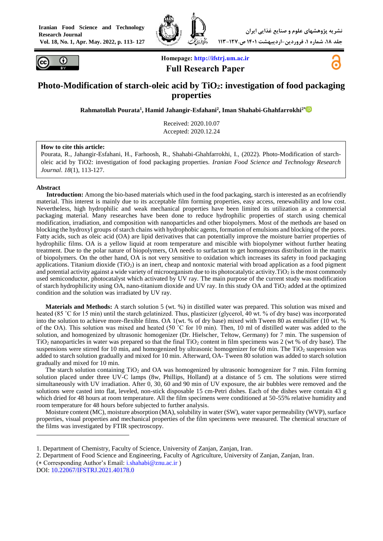



**Homepage: [http://ifstrj.um.ac.ir](http://ifstrj.um.ac.ir/) Full Research Paper**



# **Photo-Modification of starch-oleic acid by TiO2: investigation of food packaging properties**

**Rahmatollah Pourata<sup>1</sup> , Hamid Jahangir-Esfahani<sup>2</sup> , Iman Shahabi-Ghahfarrokhi2\***

Received: 2020.10.07 Accepted: 2020.12.24

#### **How to cite this article:**

Pourata, R., Jahangir-Esfahani, H., Farhoosh, R., Shahabi-Ghahfarrokhi, I., (2022). Photo-Modification of starcholeic acid by TiO2: investigation of food packaging properties. *Iranian Food Science and Technology Research Journal*. *18*(1), 113-127.

#### **Abstract**

**<sup>1</sup>Introduction:** Among the bio-based materials which used in the food packaging, starch is interested as an ecofriendly material. This interest is mainly due to its acceptable film forming properties, easy access, renewability and low cost. Nevertheless, high hydrophilic and weak mechanical properties have been limited its utilization as a commercial packaging material. Many researches have been done to reduce hydrophilic properties of starch using chemical modification, irradiation, and composition with nanoparticles and other biopolymers. Most of the methods are based on blocking the hydroxyl groups of starch chains with hydrophobic agents, formation of emulsions and blocking of the pores. Fatty acids, such as oleic acid (OA) are lipid derivatives that can potentially improve the moisture barrier properties of hydrophilic films. OA is a yellow liquid at room temperature and miscible with biopolymer without further heating treatment. Due to the polar nature of biopolymers, OA needs to surfactant to get homogenous distribution in the matrix of biopolymers. On the other hand, OA is not very sensitive to oxidation which increases its safety in food packaging applications. Titanium dioxide  $(TiO<sub>2</sub>)$  is an inert, cheap and nontoxic material with broad application as a food pigment and potential activity against a wide variety of microorganism due to its photocatalytic activity. TiO<sub>2</sub> is the most commonly used semiconductor, photocatalyst which activated by UV ray. The main purpose of the current study was modification of starch hydrophilicity using OA, nano-titanium dioxide and UV ray. In this study OA and  $TiO<sub>2</sub>$  added at the optimized condition and the solution was irradiated by UV ray.

**Materials and Methods:** A starch solution 5 (wt. %) in distilled water was prepared. This solution was mixed and heated (85 °C for 15 min) until the starch gelatinized. Thus, plasticizer (glycerol, 40 wt. % of dry base) was incorporated into the solution to achieve more-flexible films. OA 1(wt. % of dry base) mixed with Tween 80 as emulsifier (10 wt. % of the OA). This solution was mixed and heated (50  $\degree$ C for 10 min). Then, 10 ml of distilled water was added to the solution, and homogenized by ultrasonic homogenizer (Dr. Hielscher, Teltow, Germany) for 7 min. The suspension of  $TiO<sub>2</sub>$  nanoparticles in water was prepared so that the final  $TiO<sub>2</sub>$  content in film specimens was 2 (wt % of dry base). The suspensions were stirred for 10 min, and homogenized by ultrasonic homogenizer for 60 min. The TiO<sub>2</sub> suspension was added to starch solution gradually and mixed for 10 min. Afterward, OA- Tween 80 solution was added to starch solution gradually and mixed for 10 min.

The starch solution containing  $TiO<sub>2</sub>$  and OA was homogenized by ultrasonic homogenizer for 7 min. Film forming solution placed under three UV-C lamps (8w, Phillips, Holland) at a distance of 5 cm. The solutions were stirred simultaneously with UV irradiation. After 0, 30, 60 and 90 min of UV exposure, the air bubbles were removed and the solutions were casted into flat, leveled, non-stick disposable 15 cm-Petri dishes. Each of the dishes were contain 43 g which dried for 48 hours at room temperature. All the film specimens were conditioned at 50-55% relative humidity and room temperature for 48 hours before subjected to further analysis.

Moisture content (MC), moisture absorption (MA), solubility in water (SW), water vapor permeability (WVP), surface properties, visual properties and mechanical properties of the film specimens were measured. The chemical structure of the films was investigated by FTIR spectroscopy.

 $(*$  Corresponding Author's Email: [i.shahabi@znu.ac.ir](mailto:i.shahabi@znu.ac.ir))

DOI: [10.22067/IFSTRJ.2021.40178.0](https://dx.doi.org/10.22067/ifstrj.2021.40178.0)

1

<sup>1.</sup> Department of Chemistry, Faculty of Science, University of Zanjan, Zanjan, Iran.

<sup>2.</sup> Department of Food Science and Engineering, Faculty of Agriculture, University of Zanjan, Zanjan, Iran.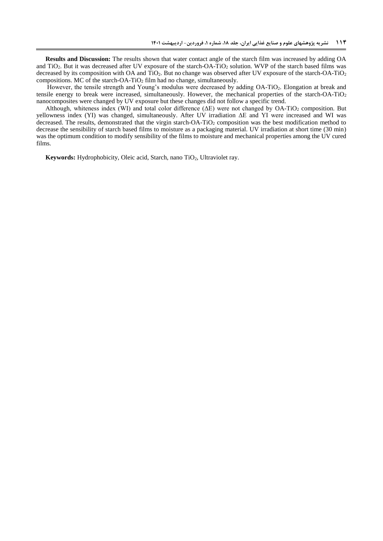**Results and Discussion:** The results shown that water contact angle of the starch film was increased by adding OA and TiO2. But it was decreased after UV exposure of the starch-OA-TiO<sup>2</sup> solution. WVP of the starch based films was decreased by its composition with OA and TiO<sub>2</sub>. But no change was observed after UV exposure of the starch-OA-TiO<sub>2</sub> compositions. MC of the starch-OA-TiO<sup>2</sup> film had no change, simultaneously.

However, the tensile strength and Young's modulus were decreased by adding OA-TiO2. Elongation at break and tensile energy to break were increased, simultaneously. However, the mechanical properties of the starch-OA-TiO<sup>2</sup> nanocomposites were changed by UV exposure but these changes did not follow a specific trend.

Although, whiteness index (WI) and total color difference (ΔE) were not changed by OA-TiO<sub>2</sub> composition. But yellowness index (YI) was changed, simultaneously. After UV irradiation ΔE and YI were increased and WI was decreased. The results, demonstrated that the virgin starch-OA-TiO<sub>2</sub> composition was the best modification method to decrease the sensibility of starch based films to moisture as a packaging material. UV irradiation at short time (30 min) was the optimum condition to modify sensibility of the films to moisture and mechanical properties among the UV cured films.

Keywords: Hydrophobicity, Oleic acid, Starch, nano TiO<sub>2</sub>, Ultraviolet ray.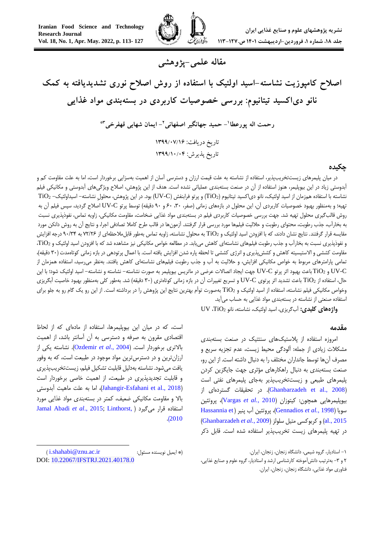

# **مقاله علمی-پژوهشی**

**اصالح کامپوزیت نشاسته-اسید اولئیک با استفاده از روش اصالح نوری تشدیدیافته به کمک نانو دیاکسید تیتانیوم: بررسی خصوصیات کاربردی در بستهبندی مواد غذایی**

**- حمید جهانگیر اصفهانی <sup>1</sup> رحمت اله پورعطا - ایمان شهابی قهفرخی <sup>2</sup> \*3** تاریخ دریافت: 6911/70/61 تاریخ پذیرش: 6911/67/70

#### **چکیده**

در میان پلیمرهای زیستتخریبپذیر، استفاده از نشاسته به علت قیمت ارزان و دسترسی آسان از اهمیت بهسزایی برخوردار است، اما به علت مقاومت کم و آبدوستی زیاد در این بیوپلیمر، هنوز استفاده از آن در صنعت بستهبندی عملیاتی نشده است. هدف از این پژوهش، اصالح ویژگیهای آبدوستی و مکانیکی فیلم نشاسته با استفاده همزمان از اسید اولئیک، نانو دی|کسید تیتانیوم (TiO2) و پرتو فرابنفش (UV-C) بود. در این پژوهش، محلول نشاسته– اسیداولئیک-  $\rm TiO_2$ تهیه؛ و بهمنظور بهبود خصوصیات کاربردی آن، این محلول در بازههای زمانی (صفر، ۳۰، ۶۰ و ۹۰ دقیقه) توسط پرتو UV-C اصلاح گردید، سپس فیلم آن به روش قالبگیری محلول تهیه شد. جهت بررسی خصوصیات کاربردی فیلم در بستهبندی مواد غذایی ضخامت، مقاومت مکانیکی، زاویه تماس، نفوذپذیری نسبت به بخارآب، جذب رطوبت، محتوای رطوبت و حاللیت فیلمها مورد بررسی قرار گرفتند. آزمونها در قالب طرح کامال تصادفی اجرا، و نتایج آن به روش دانکن مورد مقایسه قرار گرفتند. نتایج نشان دادند، که با افزودن اسید اولئیک و 2TiO به محلول نشاسته، زاویه تماس بهطور قابلمالحظهای از 26/60 به 03/03 درجه افزایش و نفوذپذیری نسبت به بخارآب و جذب رطوبت فیلمهای نشاستهای کاهش مییابد. در مطالعه خواص مکانیکی نیز مشاهده شد که با افزودن اسید اولئیک و 2TiO، مقاومت کششی و الاستیسیته کاهش و کششپذیری و انرژی کششی تا لحظه پاره شدن افزایش یافته است. با اعمال پرتودهی در بازه زمانی کوتاهمدت (۳۰ دقیقه)، تمامی پارامترهای مربوط به خواص مکانیکی افزایش، و حاللیت به آب و جذب رطوبت فیلمهای نشاستهای کاهش یافتند. بهنظر میرسید، استفاده همزمان از C-UV و 2TiO باعث بهبود اثر پرتو C-UV جهت ایجاد اتصاالت عرضی در ماتریس بیوپلیمر به صورت نشاسته- نشاسته و نشاسته- اسید اولئیک شود؛ با این حال، استفاده از 2TiO باعث تشدید اثر پرتوی C-UV و تسریع تغییرات آن در بازه زمانی کوتاهتری )03 دقیقه( شد. بهطور کلی بهمنظور بهبود خاصیت آبگریزی وخواص مکانیکی فیلم نشاسته، استفاده از اسید اولئیک و 2TiO بهصورت توأم بهترین نتایج این پژوهش را در برداشته است. از این رو یک گام رو به جلو برای استفاده صنعتی از نشاسته در بستهبندی مواد غذایی به حساب میآید.

**واژههای کلیدی:** آبگریزی، اسید اولئیک، نشاسته، نانو 2TiO، UV

#### <span id="page-2-0"></span>**مقدمه**

امروزه استفاده از پالستیکهای سنتتیک در صنعت بستهبندی مشکالت زیادی از جمله: آلودگی محیط زیست، عدم تجزیه سریع و مصرف آنها توسط جانداران مختلف را به دنبال داشته است. از این رو، صنعت بستهبندی به دنبال راهکارهای مؤثری جهت جایگزین کردن پلیمرهای طبیعی و زیستتخریبپذیر بهجای پلیمرهای نفتی است )[2008 .,al et Ghanbarzadeh](#page-2-0)). در تحقیقات گستردهای از بیوپلیمرهایی همچون: کیتوزان )2010 *.,al et* [Vargas](#page-14-0))، پروتئین [Hassannia et](#page-12-0) ( پنیر آب پروتئین ،([Gennadios](#page-13-0) *et al.,* 1998( سویا [2015 .,al](#page-12-0) )و کربوکسی متیل سلولز )2009 *.*,*al et* Ghanbarzadeh) در تهیه پلیمرهای زیست تخریبپذیر استفاده شده است. قابل ذکر

است، که در میان این بیوپلیمرها، استفاده از مادهای که از لحاظ اقتصادی مقرون به صرفه و دسترسی به آن آسانتر باشد، از اهمیت باالتری برخوردار است. )2004 .,*al et* [Ozdemir](#page-14-1)). نشاسته یکی از ارزانترین و در دسترسترین مواد موجود در طبیعت است، که به وفور یافت میشود. نشاسته بهدلیل قابلیت تشکیل فیلم، زیستتخریبپذیری و قابلیت تجدیدپذیری در طبیعت، از اهمیت خاصی برخوردار است )[2018 .,al et Esfahani-Jahangir](#page-12-1))، اما به علت ماهیت آبدوستی باال و مقاومت مکانیکی ضعیف، کمتر در بستهبندی مواد غذایی مورد [Jamal Abadi](#page-13-1) *et al*., 2015; [Linthorst,](#page-14-2) ( میگیرد قرار استفاده .)[2010](#page-14-2)

-

<sup>-1</sup> استادیار، گروه شیمی، دانشگاه زنجان، زنجان، ایران.

<sup>6</sup> و -0 بهترتیب دانشآموخته کارشناسی ارشد و استادیار، گروه علوم و صنایع غذایی، فناوری مواد غذایی، دانشگاه زنجان، زنجان، ایران.

<sup>)</sup> [i.shahabi@znu.ac.ir](mailto:i.shahabi@znu.ac.ir) :مسئول نویسنده ایمیل)\* DOI: [10.22067/IFSTRJ.2021.40178.0](https://dx.doi.org/10.22067/ifstrj.2021.40178.0)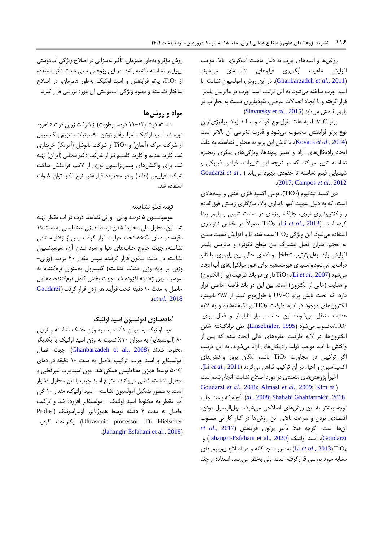روغنها و اسیدهای چرب به دلیل ماهیت آبگریزی باال، موجب افزایش ماهیت آبگریزی فیلمهای نشاستهای میشوند )2011 *.,al et* [Ghanbarzadeh](#page-2-0)). در این روش، امولسیون نشاسته با اسید چرب ساخته میشود. به این ترتیب اسید چرب در ماتریس پلیمر قرار گرفته و با ایجاد اتصاالت عرضی، نفوذپذیری نسبت به بخارِآب در پلیمر کاهش مییابد (Slavutsky et al., 2015)

پرتو C-UV، به علت طولموج کوتاه و بسامد زیاد، پرانرژیترین نوع پرتو فرابنفش محسوب میشود و قدرت تخریبی آن باالتر است )2014 .,*al et* [Kovacs](#page-13-2)). با تابش این پرتو به محلول نشاسته، به علت ایجاد رادیکالهای آزاد و تغییر پیوندها، ویژگیهای پیکری زنجیره نشاسته تغییر میکند که در نتیجه این تغییرات، خواص فیزیکی و شیمیایی فیلم نشاسته تا حدودی بهبود مییابد [\)](#page-7-0) *.,al et* [Goudarzi](#page-7-0) .)[2017;](#page-7-0) [Campos](#page-13-3) *et al.*, 2012

دی|کسید تیتانیوم (TiO2)، نوعی اکسید فلزی خنثی و نیمههادی است، که به دلیل سمیت کم، پایداری باال، سازگاری زیستی فوقالعاده و واکنشپذیری نوری، جایگاه ویژهای در صنعت شیمی و پلیمر پیدا کرده است )[2013 .,](#page-13-4)*al et* Li). 2TiO معموالً در مقیاس نانومتری استفاده میشود. این ویژگی  $\rm TiO_2$  سبب شده تا با افزایش نسبت سطح به حجم، میزان فصل مشترک بین سطح نانوذره و ماتریس پلیمر افزایش یابد، بهاینترتیب تخلخل و فضای خالی بین پلیمری، با نانو ذرات پرمیشود و مسیری غیرمستقیم برای عبور مولکولهای آب ایجاد میشود )[2007](#page-13-5) *.*,*al et* Li). <sup>2</sup>TiOدارای دو باند ظرفیت )پر از الکترون( و هدایت )خالی از الکترون( است. بین این دو باند فاصله خاصی قرار دارد، که تحت تابش پرتو C-UV با طولموج کمتر از 082 نانومتر، الکترونهای موجود در لایه ظرفیت  $\overline{\text{TiO}}_2$  برانگیختهشده و به لایه هدایت منتقل میشوند؛ این حالت بسیار ناپایدار و فعال برای تصحسوب میشود (Linsebigler, 1995). طی برانگیخته شدن $\rm TiO_2$ الکترونها، در الیه ظرفیت حفرههای خالی ایجاد شده که پس از واکنش با آب، موجب تولید رادیکالهای آزاد میشوند، به این ترتیب اگر ترکیبی در مجاورت 2TiO باشد، امکان بروز واکنشهای اکسیداسیون و احیاء در آن ترکیب فراهم میگردد )[2011](#page-13-7) *.*,*al et* Li).

اخیراً پژوهشهای متعددی در مورد اصالح نشاسته انجام شده است [Goudarzi](#page-7-0) *et al.*, 2018; [Almasi](#page-12-2) *et al*., 2009; [Kim](#page-13-8) *et* [\(](#page-7-0) [2018 ,Ghahfarrokhi Shahabi](#page-14-4)[;](#page-13-8)[2008](#page-13-8) *.*,*al*). آنچه که باعث جلب توجه بیشتر به این روشهای اصالحی میشود، سهلالوصول بودن، اقتصادی بودن و سرعت باالی این روشها در کنار کارایی مطلوب آنها است. اگرچه قبال تأثیر پرتوی فرابنفش )[2017 .,](#page-7-0)*al et* و ([Jahangir-Esfahani et al., 2020](#page-12-1))، اسید اولئیک (Jahangir-Esfahani et al., 2020 <sup>2</sup>TiO( [2013 .,](#page-13-4)*al et* Li )بهصورت جداگانه و در اصالح بیوپلیمرهای مشابه مورد بررسی قرارگرفته است، ولی بهنظر میرسد، استفاده از چند

روش مؤثر و بهطور همزمان، تأثیر بهسزایی در اصالح ویژگی آبدوستی بیوپلیمر نشاسته داشته باشد. در این پژوهش سعی شد تا تأثیر استفاده از <sup>2</sup>TiO، پرتو فرابنفش و اسید اولئیک بهطور همزمان، در اصالح ساختار نشاسته و بهبود ویژگی آبدوستی آن مورد بررسی قرار گیرد.

# **مواد و روشها**

نشاسته ذرت )11-10 درصد رطوبت( از شرکت زرین ذرت شاهرود تهیه شد. اسید اولئیک، امولسیفایر توئین ،83 نیترات منیزیم و گلیسرول از شرکت مرک )آلمان( و 2TiO از شرکت نانوشِل )آمریکا( خریداری شد. کلرید سدیم و کلرید کلسیم نیز از شرکت دکتر مجللی (ایران) تهیه شد. برای واکنشهای پلیمریزاسیون نوری از المپ فرابنفش ساخت شرکت فیلیپس )هلند( و در محدوده فرابنفش نوع C با توان 8 وات استفاده شد.

#### **تهیه فیلم نشاسته**

سوسپانسیون 5 درصد وزنی- وزنی نشاسته ذرت در آب مقطر تهیه شد. این محلول طی مخلوط شدن توسط همزن مغناطیسی به مدت 15 دقیقه در دمای ᵒC85 تحت حرارت قرار گرفت. پس از ژالتینه شدن نشاسته، جهت خروج حبابهای هوا و سرد شدن آن، سوسپانسیون نشاسته در حالت سکون قرار گرفت. سپس مقدار 33 درصد )وزنی- وزنی بر پایه وزن خشک نشاسته( گلیسرول بهعنوان نرمکننده به سوسپانسیون ژالتینه افزوده شد. جهت پخش کامل نرمکننده، محلول حاصل به مدت 13 دقیقه تحت فرآیند هم زدن قرار گرفت ) [Goudarzi](#page-7-0) .)*et al.*[, 2018](#page-7-0)

# **آمادهسازی امولسیون اسید اولئیک**

اسید اولئیک به میزان %1 نسبت به وزن خشک نشاسته و توئین ۸۰ (امولسیفایر) به میزان ۱۰٪ نسبت به وزن اسید اولئیک با یکدیگر مخلوط شدند )[2008 .,al et Ghanbarzadeh](#page-2-0)). جهت اتصال امولسیفایر با اسید چرب، ترکیب حاصل به مدت 13 دقیقه در دمای ᵒC53 توسط همزن مغناطیسی همگن شد. چون اسیدچرب غیرقطبی و محلول نشاسته قطبی میباشد، امتزاج اسید چرب با این محلول دشوار است. بهمنظور تشکیل امولسیون نشاسته- اسید اولئیک، مقدار 13 گرم آب مقطر به مخلوط اسید اولئیک- امولسیفایر افزوده شد و ترکیب حاصل به مدت 2 دقیقه توسط هموژنایزر اولتراسونیک ) Probe گردید یکنواخت( Ultrasonic processor- Dr Hielscher .)[Jahangir-Esfahani et al., 2018](#page-12-1)(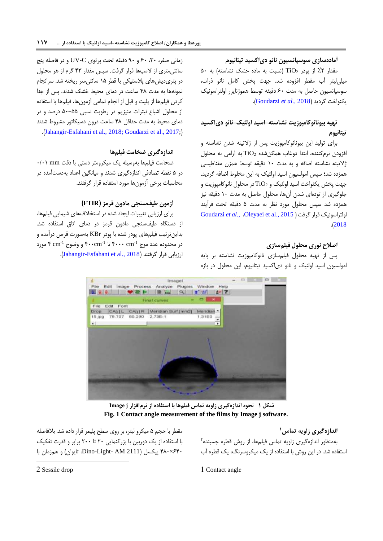## **آمادهسازی سوسپانسیون نانو دیاکسید تیتانیوم**

مقدار ۲٪ از پودر TiO2 (نسبت به ماده خشک نشاسته) به ۵۰ میلیلیتر آب مقطر افزوده شد. جهت پخش کامل نانو ذرات، سوسپانسیون حاصل به مدت 03 دقیقه توسط هموژنایزر اولتراسونیک .)[Goudarzi](#page-7-0) *et al.*, 2018( گردید یکنواخت

# **تهیه بیونانوکامپوزیت نشاسته-اسید اولئیک-نانو دیاکسید تیتانیوم**

برای تولید این بیونانوکامپوزیت پس از ژالتینه شدن نشاسته و افزودن نرمکننده، ابتدا دوغاب همگنشده <sup>2</sup>TiO به آرامی به محلول ژالتینه نشاسته اضافه و به مدت 13 دقیقه توسط همزن مغناطیسی همزده شد؛ سپس امولسیون اسید اولئیک به این مخلوط اضافه گردید. جهت پخش یکنواخت اسید اولئیک و 2TiO در محلول نانوکامپوزیت و جلوگیری از تودهای شدن آنها، محلول حاصل به مدت 13 دقیقه نیز همزده شد سپس محلول مورد نظر به مدت 5 دقیقه تحت فرآیند [Goudarzi](#page-7-0) *et al.*[,](#page-7-0) ،Oleyaei [et al., 2015](#page-13-9) [\(](#page-13-9) گرفت قرار اولتراسونیک .)[2018](#page-7-0)

### **اصالح نوری محلول فیلمسازی**

پس از تهیه محلول فیلمسازی نانوکامپوزیت نشاسته بر پایه امولسیون اسید اولئیک و نانو دیاکسید تیتانیوم، این محلول در بازه

زمانی صفر، ،03 03 و 03 دقیقه تحت پرتوی C-UV و در فاصله پنج سانتیمتری از المپها قرار گرفت. سپس مقدار 30 گرم از هر محلول در پتریدیشهای پالستیکی با قطر 15 سانتیمتر ریخته شد. سرانجام نمونهها به مدت 38 ساعت در دمای محیط خشک شدند. پس از جدا کردن فیلمها از پلیت و قبل از انجام تمامی آزمونها، فیلمها با استفاده از محلول اشباع نیترات منیزیم در رطوبت نسبی 53-55 درصد و در دمای محیط به مدت حداقل 38 ساعت درون دسیکاتور مشروط شدند .)[Jahangir-Esfahani et al., 2018;](#page-12-1) [Goudarzi et al., 2017;](#page-13-10)[\(](#page-12-1)

# **اندازهگیری ضخامت فیلمها**

ضخامت فیلمها بهوسیله یک میکرومتر دستی با دقت mm 3/31 در 5 نقطه تصادفی اندازهگیری شدند و میانگین اعداد بهدستآمده در محاسبات برخی آزمونها مورد استفاده قرار گرفتند.

# **آزمون طیفسنجی مادون قرمز )FTIR)**

برای ارزیابی تغییرات ایجاد شده در استخالفهای شیمایی فیلمها، از دستگاه طیفسنجی مادون قرمز در دمای اتاق استفاده شد. بداینترتیب فیلمهای پودر شده با پودر KBr بهصورت قرص درآمده و در محدوده عدد موج ۴۰۰۰ $\cdot$ ۳۰۰۰ تا ۴۰۰ ${\rm cm}^{-1}$  و وضوح ۴ cm $^{-1}$  مورد .([Jahangir-Esfahani et al., 2018](#page-12-1)).



**شکل -1 نحوه اندازهگیری زاویه تماس فیلمها با استفاده از نرمافزار j Image Fig. 1 Contact angle measurement of the films by Image j software.**

مقطر با حجم ۵ میکرو لیتر، بر روی سطح پلیمر قرار داده شد. بلافاصله با استفاده از یک دوربین با بزرگنمایی 63 تا 633 برابر و قدرت تفکیک 033×383 پیکسل )2111 AM -Light-Dino، تایوان( و همزمان با

<span id="page-4-0"></span>**1 اندازهگیری زاویه تماس** 6 بهمنظور اندازهگیری زاویه تماس فیلمها، از روش قطره چسبنده استفاده شد. در این روش با استفاده از یک میکروسرنگ، یک قطره آب

2 Sessile drop

-

1 Contact angle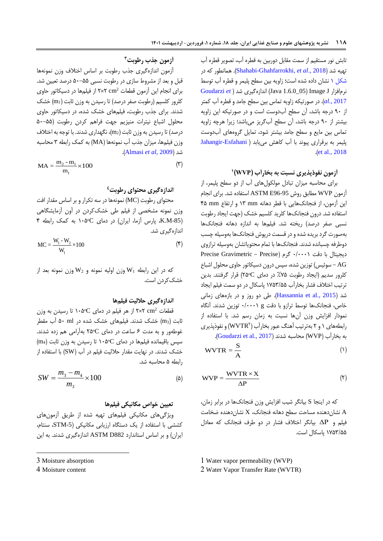تابش نور مستقیم از سمت مقابل دوربین به قطره آب، تصویر قطره آب تهیه شد )2018 .,*al et* [,Ghahfarrokhi-Shahabi](#page-14-4)). همانطور که در [شکل 1](#page-4-0) نشان داده شده است؛ زاویه بین سطح پلیمر و قطره آب توسط [Goudarzi](#page-7-0) *et* [\(](#page-7-0) شد اندازهگیری( Java 1.6.0\_05( Image J نرمافزار [2017 .,](#page-7-0)*al*). در صورتیکه زاویه تماس بین سطح جامد و قطره آب کمتر از 03 درجه باشد، آن سطح آبدوست است و در صورتیکه این زاویه بیشتر از 03 درجه باشد، آن سطح آبگریز میباشد؛ زیرا هرچه زاویه تماس بین مایع و سطح جامد بیشتر شود، تمایل گروههای آبدوست پلیمر به برقراری پیوند با آب کاهش می یابد ( Jahangir-Esfahani .)[et al., 2018](#page-12-1)

**1 آزمون نفوذپذیری نسبت به بخارآب )WVP)**

برای محاسبه میزان تبادل مولکولهای آب از دو سطح پلیمر، از آزمون WVP مطابق روش 96-95E ASTM استفاده شد. برای انجام این آزمون، از فنجانکهایی با قطر دهانه mm 10 و ارتفاع mm 35 استفاده شد. درون فنجانکها کلرید کلسیم خشک )جهت ایجاد رطوبت نسبی صفر درصد) ریخته شد. فیلمها به اندازه دهانه فنجانکها بهصورت گرد بریده شده و در قسمت درپوش فنجانکها بهوسیله چسب دوطرفه چسبانده شدند. فنجانکها با تمام محتویاتشان بهوسیله ترازوی دیجیتال با دقت 3/3331 گرم )Precise - Gravimetric Precise سوئیس) توزین شده، سپس درون دسیکاتور حاوی محلول اشباع - AG کلرور سدیم )ایجاد رطوبت %25 در دمای ᵒC65 )قرار گرفتند. بدین ترتیب اختالف فشار بخارآب 1250/55 پاسکال در دو سمت فیلم ایجاد شد )[2015 .,al et Hassannia](#page-12-0)). طی دو روز و در بازههای زمانی خاص، فنجانکها توسط ترازو با دقت g 3/3331 توزین شدند. آنگاه نمودار افزایش وزن آنها نسبت به زمان رسم شد. با استفاده از رابطههای ۱ و ۲ بهترتیب آهنگ عبور بخارآب (WVTR۲) و نفوذپذیری به بخارآب (WVP) محاسبه شدند (Goudarzi et al., 2017).

$$
WVTR = \frac{S}{A}
$$
 (1)

$$
WVP = \frac{WVTR \times X}{\Delta P}
$$
 (7)

که در اینجا S بیانگر شیب افزایش وزن فنجانکها در برابر زمان، نشان دهنده مساحت سطح دهانه فنجانک،  $\rm X$  نشان دهنده ضخامت  $\rm A$ فیلم و  $\Delta \rm P$  بیانگر اختلاف فشار در دو طرف فنجانک که معادل 1250/55 پاسکال است.

1 Water vapor permeability (WVP)

2 Water Vapor Transfer Rate (WVTR)

**3 آزمون جذب رطوبت**

آزمون اندازهگیری جذب رطوبت بر اساس اختالف وزن نمونهها قبل و بعد از مشروط سازی در رطوبت نسبی 53-55 درصد تعیین شد. 2 برای انجام این آزمون قطعات cm 6×6 از فیلمها در دسیکاتور حاوی کلرور کلسیم (رطوبت صفر درصد) تا رسیدن به وزن ثابت (m1) خشک شدند. برای جذب رطوبت، فیلمهای خشک شده، در دسیکاتور حاوی محلول اشباع نیترات منیزیم جهت فراهم کردن رطوبت )53-55 درصد) تا رسیدن به وزن ثابت (m2)، نگهداری شدند. با توجه به اختلاف وزن فیلمها، میزان جذب آب نمونهها )MA )به کمک رابطه 0 محاسبه .)[Almasi](#page-12-2) *et al*, 2009( شد

$$
MA = \frac{m_2 - m_1}{m_1} \times 100
$$
 (7)

# **4 اندازهگیری محتوای رطوبت**

محتوای رطوبت )MC )نمونهها در سه تکرار و بر اساس مقدار افت وزن نمونه مشخصی از فیلم طی خشککردن در آون آزمایشگاهی )-85M.K، پارس آزما، ایران( در دمای ᵒC135 به کمک رابطه 3 اندازهگیری شد.

$$
MC = \frac{W_1 - W_2}{W_1} \times 100
$$
 (5)

که در این رابطه 1W وزن اولیه نمونه و 2W وزن نمونه بعد از خشککردن است.

#### **اندازهگیری حاللیت فیلمها**

قطعات  ${\rm cm^2}$  ۲×۲ از هر فیلم در دمای  ${\rm C}$ ۱۰۵ تا رسیدن به وزن ثابت )3m )خشک شدند. فیلمهای خشک شده در ml 53 آب مقطر غوطهور و به مدت ۶ ساعت در دمای ۲۵۰ بهآرامی هم زده شدند.  $(m_4)$  سپس باقیمانده فیلمها در دمای  $\rm C$ ۰۵° تا رسیدن به وزن ثابت خشک شدند. در نهایت مقدار حاللیت فیلم در آب )SW )با استفاده از رابطه 5 محاسبه شد.

$$
SW = \frac{m_3 - m_4}{m_3} \times 100
$$
 (a)

#### **تعیین خواص مکانیکی فیلمها**

ویژگیهای مکانیکی فیلمهای تهیه شده از طریق آزمونهای کششی با استفاده از یک دستگاه ارزیابی مکانیکی )-5STM، سنتام، ایران) و بر اساس استاندارد ASTM D882 اندازهگیری شدند. به این

1

<sup>3</sup> Moisture absorption

<sup>4</sup> Moisture content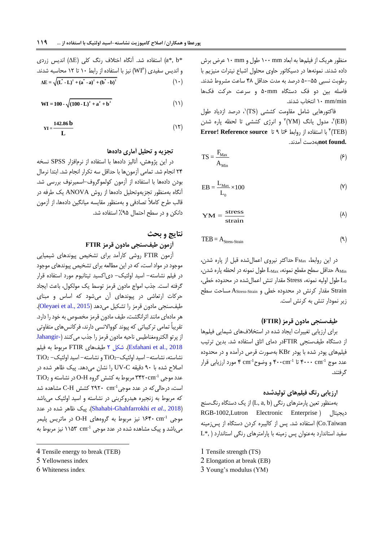منظور هریک از فیلمها به ابعاد mm 133 طول و mm 13 عرض برش داده شدند. نمونهها در دسیکاتور حاوی محلول اشباع نیترات منیزیم با رطوبت نسبی 53-55 درصد به مدت حداقل 38 ساعت مشروط شدند. فاصله بین دو فک دستگاه mm53 و سرعت حرکت فکها min/mm 13 انتخاب شدند.

، درصد ازدیاد طول <sup>1</sup> فاکتورهایی شامل مقاومت کششی )TS) ه مدول یانگ  $\rm{(YM)}$  و انرژی کششی تا لحظه پاره شدن  $\rm{(EB)}$ )TEB( با استفاده از روابط 0تا 0 تا **source Reference! Error** <sup>3</sup> **.found not**بهدست آمدند.

$$
TS = \frac{F_{\text{Max}}}{A_{\text{Min}}} \tag{5}
$$

$$
EB = \frac{L_{\text{Max}}}{L_0} \times 100 \tag{V}
$$

$$
YM = \frac{\text{stress}}{\text{strain}} \tag{A}
$$

$$
TEB = A_{\text{Stress-Strain}} \tag{9}
$$

در این روابط، FMax حداکثر نیروی اعمالشده قبل از پاره شدن، AMin حداقل سطح مقطع نمونه، LMax طول نمونه در لحظه پاره شدن، <sup>0</sup>L طول اولیه نمونه، Stress مقدار تنش اعمالشده در محدوده خطی، Strain مقدار کرنش در محدوده خطی و Strain-AStress مساحت سطح زیر نمودار تنش به کرنش است.

#### **طیفسنجی مادون قرمز )FTIR)**

برای ارزیابی تغییرات ایجاد شده در استخالفهای شیمایی فیلمها از دستگاه طیفسنجی FTIRدر دمای اتاق استفاده شد. بدین ترتیب فیلمهای پودر شده با پودر KBr بهصورت قرص درآمده و در محدوده عدد موج ۴۰۰۰cm<sup>-1</sup> تا ۴۰۰cm<sup>-1</sup> و وضوح<sup>1</sup>cm ۴ مورد ارزیابی قرار گرفتند.

#### **ارزیابی رنگ فیلمهای تولیدشده**

بهمنظور تعین پارمترهای رنگی )b ,a ,L )از یک دستگاه رنگسنج RGB-1002,Lutron Electronic Enterprise ( دیجیتال Taiwan.Co )استفاده شد. پس از کالیبره کردن دستگاه از پسزمینه  $L^*,$ ) سفید استاندارد بهعنوان پس زمینه با پارامترهای رنگی استاندارد

- 2 Elongation at break (EB)
- 3 Young's modulus (YM)

(دی (4\*, b\*) استفاده شد. آنگاه اختلاف رنگ کلی (4) اندیس زردی (4\*, b\*)  
و اندیس سفیدی (WI<sup>5</sup>) نیز با استفاده از رابط ۱۰ تا ۱۲ محاسبه شدند.  
1) 
$$
\Delta E = \sqrt{(L^* - L)^2 + (a^* - a)^2 + (b^* - b)^2}
$$

$$
WI = 100 - \sqrt{(100 - L)^2 + a^2 + b^2}
$$
 (1)

$$
YI = \frac{142.86 \text{ b}}{L} \tag{17}
$$

# **تجزیه و تحلیل آماری دادهها**

در این پژوهش، آنالیز دادهها با استفاده از نرمافزار SPSS نسخه 63 انجام شد. تمامی آزمونها با حداقل سه تکرار انجام شد. ابتدا نرمال بودن دادهها با استفاده از آزمون کولموگروف-اسمیرنوف بررسی شد. آنگاه بهمنظور تجزیهوتحلیل دادهها از روش ANOVA یک طرفه در قالب طرح کامالً تصادفی و بهمنظور مقایسه میانگین دادهها، از آزمون دانکن و در سطح احتمال %05 استفاده شد.

### **نتایج و بحث**

### **آزمون طیفسنجی مادون قرمز FTIR**

آزمون FTIR روشی کارآمد برای تشخیص پیوندهای شیمیایی موجود در مواد است، که در این مطالعه برای تشخیص پیوندهای موجود در فیلم نشاسته- اسید اولئیک- دیاکسید تیتانیوم مورد استفاده قرار گرفته است. جذب امواج مادون قرمز توسط یک مولکول، باعث ایجاد حرکات ارتعاشی در پیوندهای آن میشود که اساس و مبنای طیفسنجی مادون قرمز را تشکیل میدهد (Oleyaei et al., 2015). هر مادهای مانند اثرانگشت، طیف مادون قرمز مخصوص به خود را دارد. تقریباً تمامی ترکیباتی که پیوند کوواالنسی دارند، فرکانسهای متفاوتی از پرتو الکترومغناطیس ناحیه مادون قرمز را جذب میکنند [\)](#page-12-1)[-Jahangir](#page-12-1) [2018 .,al et Esfahani](#page-12-1)). [شکل 6](#page-7-1) طیفهای FTIR مربوط به فیلم  $TiO<sub>2</sub>$ نشاسته- اسید اولئیک- $TiO<sub>2</sub>$  و نشاسته- اسید اولئیک اصالح شده با 03 دقیقه C-UV را نشان میدهد. پیک ظاهر شده در  $Ti O_2$  عدد موجی ۳۴۲۰cm<sup>-1</sup> مربوط به کشش گروه O-H در نشاسته و 2TiO است، درحالی که در عدد موجی $\mathrm{C}\text{-}\mathrm{H}$  کشش  $\mathrm{C}\text{-}\mathrm{H}$  مشاهده شد که مربوط به زنجیره هیدروکربنی در نشاسته و اسید اولئیک میباشد )2018 .,*al et* [Ghahfarrokhi-Shahabi](#page-14-4)). پیک ظاهر شده در عدد -1 موجی cm 1033 نیز مربوط به گروههای H-O در ماتریس پلیمر میباشد و پیک مشاهده شده در عدد موجی n۱۵۳ cm<sup>-1</sup> نیز مربوط به

1

6 Whiteness index

<sup>1</sup> Tensile strength (TS)

<sup>4</sup> Tensile energy to break (TEB)

<sup>5</sup> Yellowness index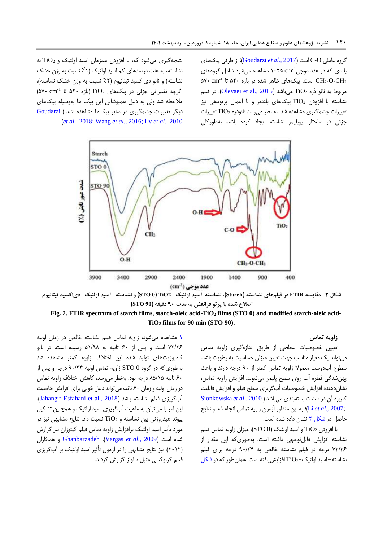<span id="page-7-0"></span>گروه عاملی O-C است)2017 .,*al et* [Goudarzi](#page-7-0))؛ از طرفی پیکهای بلندی که در عدد موجی<sup>1.</sup>N۵ cm ۱۰۲۵ مشاهده میشود شامل گروههای ۵۷۰ cm $^{-1}$  است. پیکهای ظاهر شده در بازه ۵۲۰ تا  $\rm CH_2\text{-}O\text{-}CH_2$ مربوط به نانو ذره TiO2 میباشد (Oleyaei et al., 2015). در فیلم نشاسته با افزودن 2TiO پیکهای بلندتر و با اعمال پرتودهی نیز تغییرات چشمگیری مشاهده شد. به نظر میرسد نانوذره 2TiO تغییرات جزئی در ساختار بیوپلیمر نشاسته ایجاد کرده باشد. بهطورکلی

نتیجهگیری میشود که، با افزودن همزمان اسید اولئیک و 2TiO به نشاسته، به علت درصدهای کم اسید اولئیک (۱٪ نسبت به وزن خشک نشاسته) و نانو دی|کسید تیتانیوم (۲٪ نسبت به وزن خشک نشاسته)،  $( \delta Y \cdot \text{ cm}^{-1} \text{ if } 0 \cdot \text{ if } 0)$ (بازه ۵۲۰ تا  $\delta Y$ ۰ تا  $\infty$ مالحظه شد ولی به دلیل همپوشانی این پیک ها بهوسیله پیکهای دیگر تغییرات چشمگیری در سایر پیکها مشاهده نشد [\)](#page-7-0) [Goudarzi](#page-7-0) .)*et al*[., 2018;](#page-7-0) [Wang](#page-14-5) *et al.,* 2016; Lv *[et al.,](#page-14-6)* 2010



شکل ۲- مقایسه FTIR در فیلمهای نشاسته (Starch)، نشاسته-اسید اولئیک- TiO2 (STO 0) و نشاسته- اسید اولئیک- دیاکسید تیتانیوم **اصالح شده با پرتو فرانفش به مدت 09 دقیقه )90 STO)**

**Fig. 2. FTIR spectrum of starch films, starch-oleic acid-TiO<sup>2</sup> films (STO 0) and modified starch-oleic acid-TiO<sup>2</sup> films for 90 min (STO 90).**

<span id="page-7-1"></span>**زاویه تماس**

تعیین خصوصیات سطحی از طریق اندازهگیری زاویه تماس میتواند یک معیار مناسب جهت تعیین میزان حساسیت به رطوبت باشد. سطوح آبدوست معموال زاویه تماس کمتر از 03 درجه دارند و باعث پهنشدگی قطره آب روی سطح پلیمر میشوند. افزایش زاویه تماس، نشاندهنده افزایش خصوصیات آبگریزی سطح فیلم و افزایش قابلیت کاربرد آن در صنعت بستهبندی میباشد[\)](#page-14-7) 2010 .,*al et* [Sionkowska](#page-14-7) [;2007](#page-13-5) *.*,*al et* Li)؛ به این منظور آزمون زاویه تماس انجام شد و نتایج حاصل در [شکل 6](#page-7-1) نشان داده شده است.

با افزودن  $\overline{1}$  و اسید اولئیک (STO 0)، میزان زاویه تماس فیلم نشاسته افزایش قابلتوجهی داشته است. بهطوریکه این مقدار از 26/60 درجه در فیلم نشاسته خالص به 03/03 درجه برای فیلم نشاسته- اسید اولئیک2-TiO افزایشیافته است. همانطورکه د[ر شکل](#page-4-0) 

[1](#page-4-0) مشاهده میشود، زاویه تماس فیلم نشاسته خالص در زمان اولیه 26/60 است و پس از 03 ثانیه به 51/08 رسیده است. در نانو کامپوزیتهای تولید شده این اختالف زاویه کمتر مشاهده شد بهطوریکه در گروه 0 STO زاویه تماس اولیه 03/03 درجه و پس از 03 ثانیه 85/15 درجه بود. بهنظر میرسد، کاهش اختالف زاویه تماس در زمان اولیه و زمان 03 ثانیه میتواند دلیل خوبی برای افزایش خاصیت آبگریزی فیلم نشاسته باشد )[2018 .,al et Esfahani-Jahangir](#page-12-1)). این امر را میتوان به ماهیت آبگریزی اسید اولئیک و همچنین تشکیل پیوند هیدروژنی بین نشاسته و 2TiO نسبت داد. نتایج مشابهی نیز در مورد تأثیر اسید اولئیک برافزایش زاویه تماس فیلم کیتوزان نیز گزارش شده است )2009 .,*al et* [Vargas](#page-14-0)). [Ghanbarzadeh](#page-2-0) و همکاران )6316(، نیز نتایج مشابهی را در آزمون تأثیر اسید اولئیک بر آبگریزی فیلم کربوکسی متیل سلولز گزارش کردند.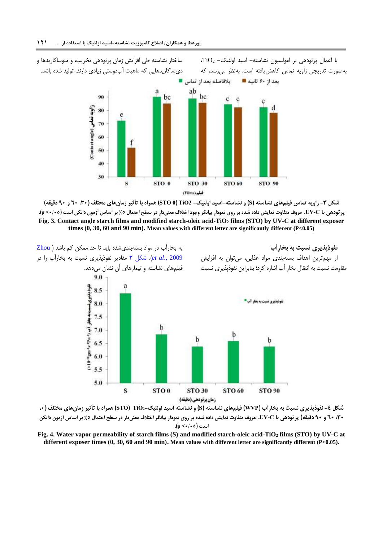

<span id="page-8-0"></span>



<span id="page-8-1"></span>

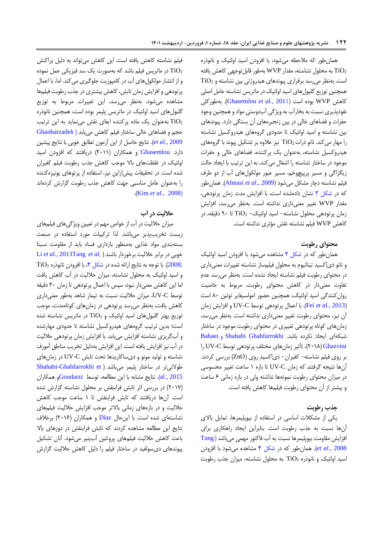همانطور که مالحظه میشود، با افزودن اسید اولئیک و نانوذره به محلول نشاسته، مقدار WVP بهطور قابل توجهی کاهش یافته  $\rm TiO_2$ است. بهنظر میرسد برقراری پیوندهای هیدروژنی بین نشاسته و 2TiO همچنین توزیع گلبولهای اسید اولئیک در ماتریس نشاسته عامل اصلی کاهش WVP بوده است )2011 *.*,*al et* [Ghasemlou](#page-13-11)). بهطورکلی نفوذپذیری نسبت به بخارآب به ویژگی آبدوستی مواد و همچنین وجود حفرات و فضاهای خالی در بین زنجیرههای آن بستگی دارد. پیوندهای بین نشاسته و اسید اولئیک تا حدودی گروههای هیدروکسیل نشاسته را مهار میکند. نانو ذرات TiO2 نیز علاوه بر تشکیل پیوند با گروههای هیدروکسیل نشاسته، بهعنوان یک پرکننده، فضاهای خالی و حفرات موجود در ساختار نشاسته را اشغال می کند، به این ترتیب با ایجاد حالت زیگزاگی و مسیر پرپیچوخم، مسیر عبور مولکولهای آب از دو طرف فیلم نشاسته دچار مشکل میشود )2009 .,*al et* [Almasi](#page-12-2)). همانطور که در [شکل 0](#page-8-0) نشان دادهشده است، با افزایش مدت زمان پرتودهی، مقدار WVP تغییر معنیداری نداشته است. بهنظر میرسد، افزایش زمان پرتودهی محلول نشاسته- اسید اولئیک- <sup>2</sup>TiO تا 03 دقیقه، در کاهش WVP فیلم نشاسته نقش مؤثری نداشته است.

#### **محتوای رطوبت**

همانطور که در [شکل 3](#page-8-1) مشاهده میشود با افزودن اسید اولئیک و نانو دیاکسید تیتانیوم به محلول فیلمساز نشاسته تغییرات معنیداری در محتوای رطوبت فیلم نشاسته ایجاد نشده است. بهنظر میرسد عدم تفاوت معنیدار در کاهش محتوای رطوبت، مربوط به خاصیت روانکنندگی اسید اولئیک، همچنین حضور امولسیفایر توئین 83 است )2013 *[.,al et](#page-13-12)* Fei). با اعمال پرتودهی توسط C-UV و افزایش زمان آن نیز، محتوای رطوبت تغییر معنیداری نداشته است. بهنظر میرسد، زمانهای کوتاه پرتودهی تغییری در محتوای رطوبت موجود در ساختار شبکهای ایجاد نکرده باشد. [Ghahfarrokhi](#page-14-4) Shahabi و Babaei [Ghazvini](#page-14-4)( 6318)، تأثیر زمانهای مختلف پرتودهی توسط C-UV را بر روی فیلم نشاسته- کفیران- دیاکسیدِ روی )ZnO )بررسی کردند. آنها نتیجه گرفتند که زمان C-UV تا بازه 1 ساعت تغییر محسوسی در میزان محتوای رطوبت نمونهها نداشته ولی در بازه زمانی ۶ ساعت و بیشتر از آن محتوای رطوبت فیلمها کاهش یافته است.

#### **جذب رطوبت**

یکی از مشکالت اساسی در استفاده از بیوپلیمرها، تمایل باالی آنها نسبت به جذب رطوبت است. بنابراین ایجاد راهکاری برای افزایش مقاومت بیوپلیمرها نسبت به آب فاکتور مهمی میباشد ) [Tang](#page-14-9) [2008](#page-14-9) *.*,*al et*). همانطور که در [شکل 3](#page-8-1) مشاهده میشود با افزودن اسید اولئیک و نانوذره <sup>2</sup>TiO به محلول نشاسته، میزان جذب رطوبت

فیلم نشاسته کاهش یافته است. این کاهش میتواند به دلیل پراکنش در ماتریس فیلم باشد که بهصورت یک سد فیزیکی عمل نموده  $\rm TiO_2$ و از انتشار مولکولهای آب در کامپوزیت جلوگیری میکند. اما، با اعمال پرتودهی و افزایش زمان تابش، کاهش بیشتری در جذب رطوبت فیلمها مشاهده میشود. بهنظر میرسد، این تغییرات مربوط به توزیع گلبولهای اسید اولئیک در ماتریس پلیمر بوده است، همچنین نانوذره بهعنوان یک ماده پرکننده ایفای نقش مینماید به این ترتیب  $\rm TiO_2$ حجم و فضاهای خالی ساختار فیلم کاهش مییابد ) Ghanbarzadeh 2009 .,*al et*). نتایج حاصل از این آزمون تطابق خوبی با نتایج پیشین دارد. [Ghasemlou](#page-13-11) و همکاران (۲۰۱۱) دریافتند که افزودن اسید اولئیک در غلظتهای باال موجب کاهش جذب رطوبت فیلم کفیران شده است. در تحقیقات پیشازاین نیز، استفاده از پرتوهای یونیزهکننده را بهعنوان عامل مناسبی جهت کاهش جذب رطوبت گزارش کردهاند .([Kim](#page-13-13) *et al.*, 2008)

# **حاللیت در آب**

میزان حاللیت در آب از خواص مهم در تعیین ویژگیهای فیلمهای زیست تخریبپذیر میباشد. لذا ترکیبات مورد استفاده در صنعت بستهبندی مواد غذایی بهمنظور بازداری فساد باید از مقاومت نسبتا خوبی در برابر حاللیت برخوردار باشند) [,](#page-13-4)*al et* [Tang](#page-13-4)201[3](#page-13-4) *[.,al et](#page-13-4)* Li  $\overline{1}$ iO2). با توجه به نتایج ارائه شده در شکل ۴، با افزودن نانوذره 2008. و اسید اولئیک به محلول نشاسته، میزان حاللیت در آب کاهش یافت اما این کاهش معنیدار نبود، سپس با اعمال پرتودهی تا زمان 03 دقیقه توسط C-UV، میزان حاللیت نسبت به تیمار شاهد بهطور معنیداری کاهش یافت، بهنظر میرسد پرتودهی در زمانهای کوتاهمدت، موجب توزیع بهتر گلبولهای اسید اولئیک و 2TiO در ماتریس نشاسته شده است؛ بدین ترتیب گروههای هیدروکسیل نشاسته تا حدودی مهارشده و آبگریزی نشاسته افزایش مییابد. با افزایش زمان پرتودهی حاللیت در آب نیز افزایش یافته است. این افزایش بهدلیل تخریب مناطق آمورف نشاسته و تولید مونو و دیساکاریدها تحت تابش C-UV در زمانهای طوالنیتر در ساختار پلیمر میباشد ) [et Ghahfarrokhi-Shahabi](#page-14-10) [2015 .,al](#page-14-10)). نتایج مشابه با این مطالعه، توسط[Goudarzi](#page-13-10)و همکاران )6312( در بررسی اثر تابش فرابنفش بر محلول نشاسته گزارش شده است. آنها دریافتند که تابش فرابنفش تا 1 ساعت موجب کاهش حاللیت و در بازههای زمانی باالتر موجب افزایش حاللیت فیلمهای نشاستهای شده است. با اینحال [Díaz](#page-13-14) و همکاران (۲۰۱۶) برخلاف نتایج این مطالعه مشاهده کردند که تابش فرابنفش در دوزهای باال باعث کاهش حاللیت فیلمهای پروتئین آبپنیر میشود. آنان تشکیل پیوندهای دیسولفید در ساختار فیلم را دلیل کاهش حاللیت گزارش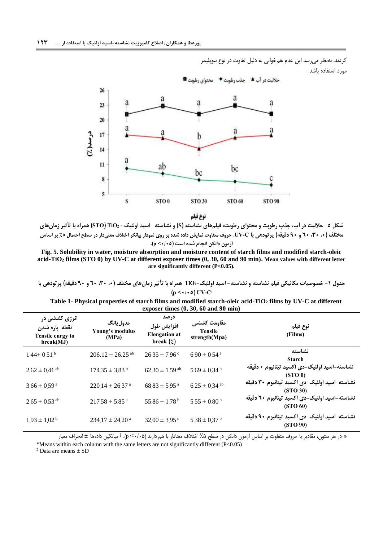کردند. بهنظر میرسد این عدم همخوانی به دلیل تفاوت در نوع بیوپلیمر مورد استفاده باشد.



<span id="page-10-0"></span>نوع فيلم

شکل ٥- حلالیت در آب، جذب رطوبت و محتوای رطوبت، فیلمهای نشاسته (S) و نشاسته- اسید اولئیک - TiO2 (STO) همراه با تأثیر زمانهای مختلف (۰، ۳۰، ۲۰ و ۹۰ دقیقه) پرتودهی با UV-C. حروف متفاوت نمایش داده شده بر روی نمودار بیانگر اختلاف معنیدار در سطح احتمال ۵٪ بر اساس **آزمون دانکن انجام شده است )9/95< p).**

**Fig. 5. Solubility in water, moisture absorption and moisture content of starch films and modified starch-oleic acid-TiO<sup>2</sup> films (STO 0) by UV-C at different exposer times (0, 30, 60 and 90 min). Mean values with different letter are significantly different (P<0.05).**

جدول ۱- خصوصیات مکانیکی فیلم نشاسته و نشاسته- اسید اولئیک-TiO2 همراه با تأثیر زمانهای مختلف (۰، ۳۰، ۲۰ و ۹۰ دقیقه) پرتودهی با  $(\mathbf{p} \leq \cdot / \cdot \mathsf{o}) \text{ UV-C}$ 

| Table 1- Physical properties of starch films and modified starch-oleic acid-TiO <sub>2</sub> films by UV-C at different |  |  |  |  |  |  |  |
|-------------------------------------------------------------------------------------------------------------------------|--|--|--|--|--|--|--|
| exposer times $(0, 30, 60 \text{ and } 90 \text{ min})$                                                                 |  |  |  |  |  |  |  |

| انرژی کشش <i>ی</i> در<br>نقطه پاره شدن<br>Tensile enrgy to<br>break(MJ) | مدول يانگ<br>Young's modulus<br>(MPa) | درصد<br>افزايش طول<br><b>Elongation</b> at<br>break $(\zeta)$ | مقاومت كششي<br><b>Tensile</b><br>strength(Mpa) | نوع فيلم<br>(Films)                                                   |
|-------------------------------------------------------------------------|---------------------------------------|---------------------------------------------------------------|------------------------------------------------|-----------------------------------------------------------------------|
| $144 \pm 0.51^{\mathrm{b}}$                                             | $206.12 \pm 26.25$ <sup>ab</sup>      | $26.35 \pm 7.96$ c                                            | $690 \pm 0.54$ <sup>a</sup>                    | نشاسته<br><b>Starch</b>                                               |
| $2.62 \pm 0.41$ <sup>ab</sup>                                           | $17435 \pm 383^{\mathrm{b}}$          | $6230 \pm 159$ ab                                             | $569 \pm 0.34^{\mathrm{b}}$                    | نشاسته-اسيد اولئيک-دي اکسيد تيتانيوم • دقيقه<br>(STO <sub>0</sub> )   |
| $366 \pm 0.59$ <sup>a</sup>                                             | $22014 \pm 2637$ <sup>a</sup>         | $68.83 \pm 5.95$ <sup>a</sup>                                 | $6.25 \pm 0.34$ <sup>ab</sup>                  | نشاسته-اسيد اولئيک-دي اکسيد تيتانيوم ٣٠ دقيقه<br>(STO <sub>30</sub> ) |
| $2.65 \pm 0.53$ <sup>ab</sup>                                           | $21758 \pm 585$ <sup>a</sup>          | $55.86 \pm 1.78^{\mathrm{b}}$                                 | $5.55 \pm 0.80^{\mathrm{b}}$                   | نشاسته-اسيد اولئيک-دي اکسيد تيتانيوم ٦٠ دقيقه<br>(STO 60)             |
| $193 \pm 102^{\mathrm{b}}$                                              | $23417 \pm 2420$ <sup>a</sup>         | $3200 \pm 395$ c                                              | $538 \pm 037$ <sup>b</sup>                     | نشاسته-اسيد اولئيک-دي اکسيد تيتانيوم ٩٠ دقيقه<br>(STO 90)             |

‡ \* در هر ستون، مقادیر با حروف متفاوت بر اساس آزمون دانکن در سطح %5 اختالف معنادار با هم دارند )3/35< <sup>p</sup>). میانگین دادهها ± انحراف معیار

\*Means within each column with the same letters are not significantly different (P<0.05)

‡ Data are means ± SD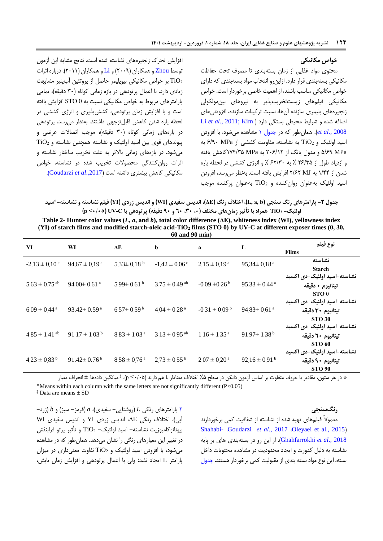#### <span id="page-11-0"></span>**خواص مکانیکی**

محتوی مواد غذایی از زمان بستهبندی تا مصرف تحت حفاظت مکانیکی بستهبندی قرار دارد. ازاینرو انتخاب مواد بستهبندی که دارای خواص مکانیکی مناسب باشند، از اهمیت خاصی برخوردار است. خواص مکانیکی فیلمهای زیستتخریبپذیر به نیروهای بینمولکولی زنجیرههای پلیمری سازنده آنها، نسبت ترکیبات سازنده، افزودنیهای اضافه شده و شرایط محیطی بستگی دارد [\)](#page-13-4) [Kim](#page-13-13)[;](#page-13-4)[2011 .,](#page-13-4)*al et* Li 2008 *[.,al et](#page-13-13)*). همانطور که در [جدول 1](#page-10-0) مشاهده میشود، با افزودن اسید اولئیک و <sup>2</sup>TiO به نشاسته، مقاومت کششی از MPa 0/03 به MPa 5/00 و مدول یانگ از 630/16 به MPa 123/05کاهش یافته و ازدیاد طول از 60/05 % به 06/03 % و انرژی کششی در لحظه پاره شدن از 1/33 به MJ 6/06 افزایش یافته است. بهنظر میرسد، افزودن اسید اولئیک بهعنوان روانکننده و  $\overline{1}$  بهعنوان پرکننده موجب

افزایش تحرک زنجیرههای نشاسته شده است. نتایج مشابه این آزمون توسط [Zhou](#page-14-8) و همکاران (۲۰۰۹) و [Li](#page-13-4) و همکاران (۲۰۱۱)، درباره اثرات بر خواص مکانیکی بیوپلیمر حاصل از پروتئین آبپنیر مشابهت  $\rm TiO_2$ زیادی دارد. با اعمال پرتودهی در بازه زمانی کوتاه (۳۰ دقیقه)، تمامی پارامترهای مربوط به خواص مکانیکی نسبت به 0 STO افزایش یافته است و با افزایش زمان پرتودهی، کششپذیری و انرژی کششی در لحظه پاره شدن کاهش قابلتوجهی داشتند. بهنظر میرسد، پرتودهی در بازههای زمانی کوتاه (۳۰ دقیقه)، موجب اتصالات عرضی و پیوندهای قوی بین اسید اولئیک و نشاسته همچنین نشاسته و 2TiO میشود. در بازههای زمانی باالتر به علت تخریب ساختار نشاسته و اثرات روانکنندگی محصوالت تخریب شده در نشاسته، خواص مکانیکی کاهش بیشتری داشته است ).,2017*al et* [Goudarzi](#page-7-0)).

جدول ۲- پارامترهای رنگ سنجی (L, a, b)، اختلاف رنگ (AE)، اندیس سفیدی (WI) و اندیس زردی (YI) فیلم نشاسته و نشاسته- اسید **اولئیک- <sup>2</sup>TiO همراه با تأثیر زمانهای مختلف )،9 ،39 09 و 09 دقیقه( پرتودهی با C-UV( 9/95 >p)**

| Table 2- Hunter color values $(L, a, and b)$ , total color difference ( $\Delta E$ ), whiteness index (WI), yellowness index  |
|-------------------------------------------------------------------------------------------------------------------------------|
| (YI) of starch films and modified starch-oleic acid-TiO <sub>2</sub> films (STO 0) by UV-C at different exposer times (0, 30, |
| $60$ and $90$ min)                                                                                                            |

| YI                            | WI                            | ΔE                           | $\mathbf b$                   | a                             | L                             | نوع فيلم<br><b>Films</b>                                          |
|-------------------------------|-------------------------------|------------------------------|-------------------------------|-------------------------------|-------------------------------|-------------------------------------------------------------------|
| $-2.13 \pm 0.10^{\circ}$      | $94.67 \pm 0.19^{\text{a}}$   | $5.33 \pm 0.18$ <sup>b</sup> | $-1.42 \pm 0.06$ <sup>c</sup> | $2.15 \pm 0.19^{\text{a}}$    | $95.34 \pm 0.18$ <sup>a</sup> | نشاسته<br><b>Starch</b>                                           |
| $5.63 \pm 0.75$ <sup>ab</sup> | 94 00 $\pm$ 0 61 $^{\rm a}$   | $5.99 \pm 0.61$ <sup>b</sup> | $3.75 \pm 0.49$ <sup>ab</sup> | $-0.09 \pm 0.26$              | $95.33 \pm 0.44$ <sup>a</sup> | نشاسته-اسید اولئیک-دی اکسید<br>تيتانيوم + دقيقه<br>STO 0          |
| $609 \pm 0.44$ <sup>a</sup>   | 93.42 $\pm$ 0.59 <sup>a</sup> | $657 \pm 0.59^{\mathrm{b}}$  | $4.04 \pm 0.28$ <sup>a</sup>  | $-0.31 \pm 0.09^{\mathrm{b}}$ | $94.83 \pm 0.61$ <sup>a</sup> | نشاسته-اسید اولئیک-دی اکسید<br>تيتانيوم ٣٠ دقيقه<br><b>STO 30</b> |
| $4.85 \pm 1.41$ ab            | $91.17 \pm 1.03^{\mathrm{b}}$ | $8.83 \pm 1.03$ <sup>a</sup> | $3.13 \pm 0.95$ <sup>ab</sup> | $1.16 \pm 1.35$ <sup>a</sup>  | $91.97 \pm 1.38^{\mathrm{b}}$ | نشاسته-اسید اولئیک-دی اکسید<br>تيتانيوم ٦٠ دقيقه<br><b>STO 60</b> |
| $4.23 \pm 0.83^{\mathrm{b}}$  | $91.42 \pm 0.76^{\mathrm{b}}$ | $8.58 \pm 0.76$ <sup>a</sup> | $2.73 \pm 0.55^{\mathrm{b}}$  | $2.07 \pm 0.20^{\text{ a}}$   | $92.16 \pm 0.91$ <sup>b</sup> | نشاسته-اسید اولئیک-دی اکسید<br>تيتانيوم ٩٠ دقيقه<br><b>STO 90</b> |

‡ \* در هر ستون، مقادیر با حروف متفاوت بر اساس آزمون دانکن در سطح %5 اختالف معنادار با هم دارند )3/35< <sup>p</sup>). میانگین دادهها ± انحراف معیار \*Means within each column with the same letters are not significantly different (P<0.05)

‡ Data are means ± SD

[6](#page-11-0) پارامترهای رنگی *L*( روشنایی- سفیدی(، *a*( قرمز- سبز( و *b*( زرد- آبی(، اختالف رنگی ΔE، اندیس زردی YI و اندیس سفیدی WI بیونانوکامپوزیت نشاسته- اسید اولئیک- <sup>2</sup>TiO و تأثیر پرتو فرابنفش در تغییر این معیارهای رنگی را نشان میدهد. همانطور که در مشاهده میشود، با افزودن اسید اولئیک و 2TiO تفاوت معنیداری در میزان پارامتر L ایجاد نشد؛ ولی با اعمال پرتودهی و افزایش زمان تابش،

#### **رنگسنجی**

معموالً فیلمهای تهیه شده از نشاسته از شفافیت کمی برخوردارند [Shahabi-](#page-14-4) [Goudarzi](#page-7-0) et al., 2017 *Oleyaei et al.*, 2015) 2018 .,*al et* [Ghahfarrokhi](#page-14-4)). از این رو در بستهبندی های بر پایه نشاسته به دلیل کدورت و ایجاد محدودیت در مشاهده محتویات داخل بسته، این نوع مواد بسته بندی از مقبولیت کمی برخوردار هستند. [جدول](#page-11-0)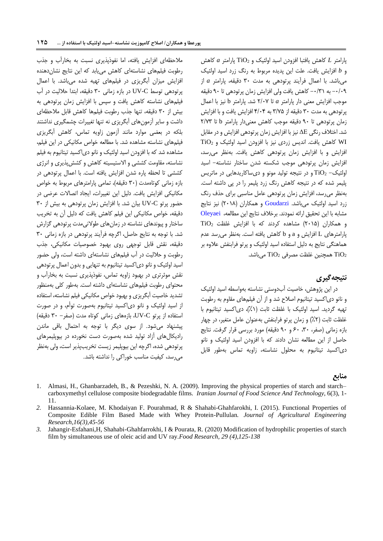پارامتر *L* کاهش یافتبا افزودن اسید اولئیک و 2TiO پارامتر *a* کاهش و *b* افزایش یافت. علت این پدیده مربوط به رنگ زرد اسید اولئیک میباشد. با اعمال فرآیند پرتودهی به مدت 03 دقیقه، پارامتر *a* از -3/30 به -3/01 کاهش یافت ولی افزایش زمان پرتودهی تا 03 دقیقه موجب افزایش معنی دار پارامتر *a* تا 6/32 شد. پارامتر b نیز با اعمال پرتودهی به مدت ۳۰ دقیقه از ۳/۷۵ به ۴/۰۴ افزایش یافت و با افزایش زمان پرتودهی تا 03 دقیقه موجب کاهش معنیدار پارامتر b تا 6/20 شد. اختالف رنگی ΔE نیز با افزایش زمان پرتودهی افزایش و در مقابل WI کاهش یافت. اندیس زردی نیز با افزودن اسید اولئیک و <sup>2</sup>TiO افزایش و با افزایش زمان پرتودهی کاهش یافت. بهنظر میرسد، افزایش زمان پرتودهی موجب شکسته شدن ساختار نشاسته- اسید اولئیک- <sup>2</sup>TiO و در نتیجه تولید مونو و دیساکاریدهایی در ماتریس پلیمر شده که در نتیجه کاهش رنگ زرد پلیمر را در پی داشته است. بهنظر میرسد، افزایش زمان پرتودهی عامل مناسبی برای حذف رنگ زرد اسید اولئیک میباشد. [Goudarzi](#page-7-0) و همکاران (۲۰۱۸) نیز نتایج مشابه با این تحقیق ارائه نمودند. برخالف نتایج این مطالعه، [Oleyaei](#page-13-9)  $TiO<sub>2</sub>$  و همکاران (۲۰۱۵) مشاهده کردند که با افزایش غلظت پارامترهای L افزایش و a و b کاهش یافته است. بهنظر میرسد عدم هماهنگی نتایج به دلیل استفاده اسید اولئیک و پرتو فرابنفش عالوه بر TiO2 همچنین غلظت مصرفی  $\overline{TiO_2}$  میباشد.

# **نتیجهگیری**

در این پژوهش، خاصیت آبدوستی نشاسته بهواسطه اسید اولئیک و نانو دیاکسید تیتانیوم اصالح شد و از آن فیلمهای مقاوم به رطوبت تهیه گردید. اسید اولئیک با غلظت ثابت (۱٪)، دی|کسید تیتانیوم با غلظت ثابت (۲٪) و زمان پرتو فرابنفش بهعنوان عامل متغیر، در چهار بازه زمانی )صفر، ،03 03 و 03 دقیقه( مورد بررسی قرار گرفت. نتایج حاصل از این مطالعه نشان دادند که با افزودن اسید اولئیک و نانو دیاکسید تیتانیوم به محلول نشاسته، زاویه تماس بهطور قابل

#### **منابع**

- <span id="page-12-2"></span>1. Almasi, H., Ghanbarzadeh, B., & Pezeshki, N. A. (2009). Improving the physical properties of starch and starch– carboxymethyl cellulose composite biodegradable films. *Iranian Journal of Food Science And Technology*, 6(3), 1- 11.
- <span id="page-12-0"></span>*2.* Hassannia-Kolaee, M. Khodaiyan F. Pourahmad, R & Shahabi-Ghahfarokhi, I. (2015). Functional Properties of Composite Edible Film Based Made with Whey Protein-Pullulan*. Journal of Agricultural Engineering Research,16(3),45-56*
- <span id="page-12-1"></span>*3.* Jahangir-Esfahani,H, Shahabi-Ghahfarrokhi, I & Pourata, R. (2020) Modification of hydrophilic properties of starch film by simultaneous use of oleic acid and UV ray*.Food Research, 29 (4),125-138*

مالحظهای افزایش یافته، اما نفوذپذیری نسبت به بخارآب و جذب رطوبت فیلمهای نشاستهای کاهش مییابد که این نتایج نشاندهنده افزایش میزان آبگریزی در فیلمهای تهیه شده میباشد. با اعمال پرتودهی توسط C-UV در بازه زمانی 03 دقیقه، ابتدا حاللیت در آب فیلمهای نشاسته کاهش یافت و سپس با افزایش زمان پرتودهی به بیش از 03 دقیقه، تنها جذب رطوبت فیلمها کاهش قابل مالحظهای داشت و سایر آزمونهای آبگریزی نه تنها تغییرات چشمگیری نداشتند بلکه در بعضی موارد مانند آزمون زاویه تماس، کاهش آبگریزی فیلمهای نشاسته مشاهده شد. با مطالعه خواص مکانیکی در این فیلم، مشاهده شد که با افزودن اسید اولئیک و نانو دیاکسید تیتانیوم به فیلم نشاسته، مقاومت کششی و االستیسیته کاهش و کششپذیری و انرژی کششی تا لحظه پاره شدن افزایش یافته است. با اعمال پرتودهی در بازه زمانی کوتاهمدت )03 دقیقه(، تمامی پارامترهای مربوط به خواص مکانیکی افزایش یافت. دلیل این تغییرات، ایجاد اتصاالت عرضی در حضور پرتو C-UV بیان شد. با افزایش زمان پرتودهی به بیش از 03 دقیقه، خواص مکانیکی این فیلم کاهش یافت که دلیل آن به تخریب ساختار و پیوندهای نشاسته در زمانهای طوالنیمدت پرتودهی گزارش شد. با توجه به نتایج حاصل، اگرچه فرآیند پرتودهی در بازه زمانی 03 دقیقه، نقش قابل توجهی روی بهبود خصوصیات مکانیکی، جذب رطوبت و حاللیت در آب فیلمهای نشاستهای داشته است، ولی حضور اسید اولئیک و نانو دیاکسید تیتانیوم به تنهایی و بدون اعمال پرتودهی نقش موثرتری در بهبود زاویه تماس، نفوذپذیری نسبت به بخارآب و محتوای رطوبت فیلمهای نشاستهای داشته است. بهطور کلی بهمنظور تشدید خاصیت آبگریزی و بهبود خواص مکانیکی فیلم نشاسته، استفاده از اسید اولئیک و نانو دیاکسید تیتانیوم بهصورت توأم، و در صورت استفاده از پرتو C-UV، بازههای زمانی کوتاه مدت )صفر- 03 دقیقه( پیشنهاد میشود. از سوی دیگر با توجه به احتمال باقی ماندن رادیکالهای آزاد تولید شده بهصورت دست نخورده در بیوپلیمرهای پرتودهی شده، اگرچه این بیوپلیمر زیست تخریبپذیر است، ولی بهنظر میرسد، کیفیت مناسب خوراکی را نداشته باشد.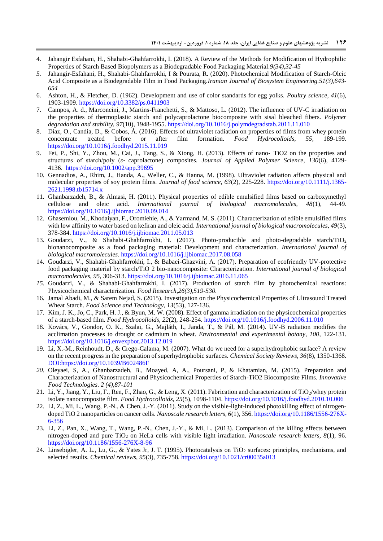- 4. Jahangir Esfahani, H., Shahabi-Ghahfarrokhi, I. (2018). A Review of the Methods for Modification of Hydrophilic Properties of Starch Based Biopolymers as a Biodegradable Food Packaging Material*.9(34),32-45*
- *5.* Jahangir-Esfahani, H., Shahabi-Ghahfarrokhi, I & Pourata, R. (2020). Photochemical Modification of Starch-Oleic Acid Composite as a Biodegradable Film in Food Packaging*.Iranian Journal of Biosystem Engineering.51(3),643- 654*
- 6. Ashton, H., & Fletcher, D. (1962). Development and use of color standards for egg yolks. *Poultry science, 41*(6), 1903-1909. https://doi.org/10.3382/ps.0411903
- <span id="page-13-3"></span>7. Campos, A. d., Marconcini, J., Martins-Franchetti, S., & Mattoso, L. (2012). The influence of UV-C irradiation on the properties of thermoplastic starch and polycaprolactone biocomposite with sisal bleached fibers. *Polymer degradation and stability, 97*(10), 1948-1955.<https://doi.org/10.1016/j.polymdegradstab.2011.11.010>
- <span id="page-13-14"></span>8. Díaz, O., Candia, D., & Cobos, Á. (2016). Effects of ultraviolet radiation on properties of films from whey protein concentrate treated before or after film formation. *Food Hydrocolloids*, 55, 189-199. concentrate treated before or after film formation. *Food Hydrocolloids*, <https://doi.org/10.1016/j.foodhyd.2015.11.019>
- <span id="page-13-12"></span>9. Fei, P., Shi, Y., Zhou, M., Cai, J., Tang, S., & Xiong, H. (2013). Effects of nano‐ TiO2 on the properties and structures of starch/poly (ε‐ caprolactone) composites. *Journal of Applied Polymer Science, 130*(6), 4129- 4136. <https://doi.org/10.1002/app.39695>
- <span id="page-13-0"></span>10. Gennadios, A., Rhim, J., Handa, A., Weller, C., & Hanna, M. (1998). Ultraviolet radiation affects physical and molecular properties of soy protein films. *Journal of food science, 63*(2), 225-228. [https://doi.org/10.1111/j.1365-](https://doi.org/10.1111/j.1365-2621.1998.tb15714.x) [2621.1998.tb15714.x](https://doi.org/10.1111/j.1365-2621.1998.tb15714.x)
- 11. Ghanbarzadeh, B., & Almasi, H. (2011). Physical properties of edible emulsified films based on carboxymethyl cellulose and oleic acid. *International journal of biological macromolecules, 48*(1), 44-49. <https://doi.org/10.1016/j.ijbiomac.2010.09.014>
- <span id="page-13-11"></span>12. Ghasemlou, M., Khodaiyan, F., Oromiehie, A., & Yarmand, M. S. (2011). Characterization of edible emulsified films with low affinity to water based on kefiran and oleic acid. *International journal of biological macromolecules, 49*(3), 378-384.<https://doi.org/10.1016/j.ijbiomac.2011.05.013>
- 13. Goudarzi, V., & Shahabi-Ghahfarrokhi, I. (2017). Photo-producible and photo-degradable starch/TiO<sup>2</sup> bionanocomposite as a food packaging material: Development and characterization. *International journal of biological macromolecules*.<https://doi.org/10.1016/j.ijbiomac.2017.08.058>
- 14. Goudarzi, V., Shahabi-Ghahfarrokhi, I., & Babaei-Ghazvini, A. (2017). Preparation of ecofriendly UV-protective food packaging material by starch/TiO 2 bio-nanocomposite: Characterization. *International journal of biological macromolecules, 95*, 306-313[. https://doi.org/10.1016/j.ijbiomac.2016.11.065](https://doi.org/10.1016/j.ijbiomac.2016.11.065)
- <span id="page-13-10"></span>*15.* Goudarzi, V., & Shahabi-Ghahfarrokhi, I. (2017). Production of starch film by photochemical reactions: Physicochemical characterization*. Food Research,26(3),519-530.*
- <span id="page-13-1"></span>16. Jamal Abadi, M., & Sarem Nejad, S. (2015). Investigation on the Physicochemical Properties of Ultrasound Treated Wheat Starch. *Food Science and Technology, 13*(53), 127-136.
- <span id="page-13-13"></span><span id="page-13-8"></span>17. Kim, J. K., Jo, C., Park, H. J., & Byun, M. W. (2008). Effect of gamma irradiation on the physicochemical properties of a starch-based film. *Food Hydrocolloids, 22*(2), 248-254.<https://doi.org/10.1016/j.foodhyd.2006.11.010>
- <span id="page-13-2"></span>18. Kovács, V., Gondor, O. K., Szalai, G., Majláth, I., Janda, T., & Pál, M. (2014). UV-B radiation modifies the acclimation processes to drought or cadmium in wheat. *Environmental and experimental botany, 100*, 122-131. <https://doi.org/10.1016/j.envexpbot.2013.12.019>
- <span id="page-13-5"></span>19. Li, X.-M., Reinhoudt, D., & Crego-Calama, M. (2007). What do we need for a superhydrophobic surface? A review on the recent progress in the preparation of superhydrophobic surfaces. *Chemical Society Reviews, 36*(8), 1350-1368. DOI[:https://doi.org/10.1039/B602486F](https://doi.org/10.1039/B602486F)
- <span id="page-13-9"></span>*20.* Oleyaei, S, A., Ghanbarzadeh, B., Moayed, A, A., Poursani, P, & Khatamian, M. (2015). Preparation and Characterization of Nanostructural and Physicochemical Properties of Starch-TiO2 Biocomposite Films*. Innovative Food Technologies*. *2 (4),87-101*
- 21. Li, Y., Jiang, Y., Liu, F., Ren, F., Zhao, G., & Leng, X. (2011). Fabrication and characterization of TiO<sub>2</sub>/whey protein isolate nanocomposite film. *Food Hydrocolloids, 25*(5), 1098-1104.<https://doi.org/10.1016/j.foodhyd.2010.10.006>
- <span id="page-13-7"></span>22. Li, Z., Mi, L., Wang, P.-N., & Chen, J.-Y. (2011). Study on the visible-light-induced photokilling effect of nitrogendoped TiO 2 nanoparticles on cancer cells. *Nanoscale research letters, 6*(1), 356. https://doi.org/10.1186/1556-276X-6-356
- <span id="page-13-4"></span>23. Li, Z., Pan, X., Wang, T., Wang, P.-N., Chen, J.-Y., & Mi, L. (2013). Comparison of the killing effects between nitrogen-doped and pure TiO<sup>2</sup> on HeLa cells with visible light irradiation. *Nanoscale research letters, 8*(1), 96. https://doi.org/10.1186/1556-276X-8-96
- <span id="page-13-6"></span>24. Linsebigler, A. L., Lu, G., & Yates Jr, J. T. (1995). Photocatalysis on TiO<sub>2</sub> surfaces: principles, mechanisms, and selected results. *Chemical reviews, 95*(3), 735-758. <https://doi.org/10.1021/cr00035a013>